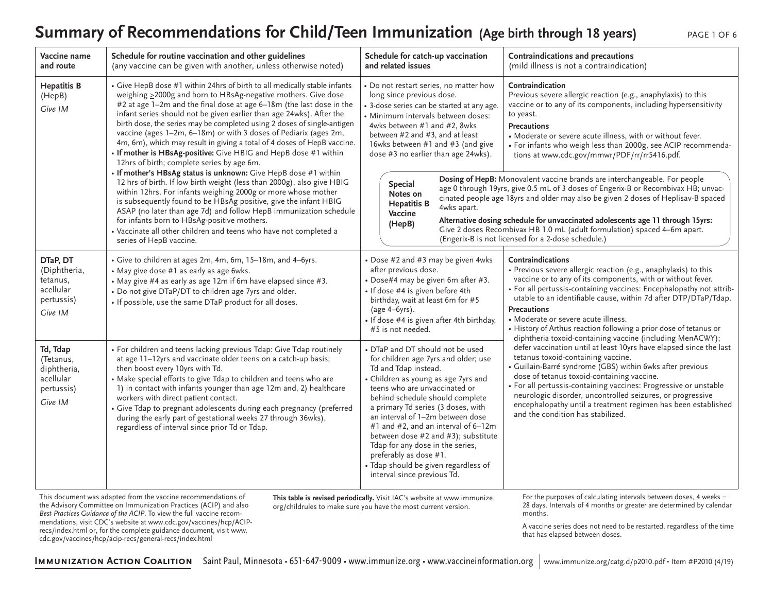### Summary of Recommendations for Child/Teen Immunization (Age birth through 18 years)

|  | PAGE 1 OF |  |
|--|-----------|--|
|  |           |  |

| Vaccine name<br>and route                                                  | Schedule for routine vaccination and other guidelines<br>(any vaccine can be given with another, unless otherwise noted)                                                                                                                                                                                                                                                                                                                                                                                                                                                                                                                                                                                                                                                                                                                                                                                                                                                                                                                                                                                          | Schedule for catch-up vaccination<br>and related issues                                                                                                                                                                                                                                                                                                                                                                                                                                                  | Contraindications and precautions<br>(mild illness is not a contraindication)                                                                                                                                                                                                                                                                                                                                                                                                                                                                                                                                                                                                                                                                                                               |  |
|----------------------------------------------------------------------------|-------------------------------------------------------------------------------------------------------------------------------------------------------------------------------------------------------------------------------------------------------------------------------------------------------------------------------------------------------------------------------------------------------------------------------------------------------------------------------------------------------------------------------------------------------------------------------------------------------------------------------------------------------------------------------------------------------------------------------------------------------------------------------------------------------------------------------------------------------------------------------------------------------------------------------------------------------------------------------------------------------------------------------------------------------------------------------------------------------------------|----------------------------------------------------------------------------------------------------------------------------------------------------------------------------------------------------------------------------------------------------------------------------------------------------------------------------------------------------------------------------------------------------------------------------------------------------------------------------------------------------------|---------------------------------------------------------------------------------------------------------------------------------------------------------------------------------------------------------------------------------------------------------------------------------------------------------------------------------------------------------------------------------------------------------------------------------------------------------------------------------------------------------------------------------------------------------------------------------------------------------------------------------------------------------------------------------------------------------------------------------------------------------------------------------------------|--|
| <b>Hepatitis B</b><br>(HepB)<br>Give IM                                    | • Give HepB dose #1 within 24hrs of birth to all medically stable infants<br>weighing >2000g and born to HBsAg-negative mothers. Give dose<br>#2 at age 1-2m and the final dose at age 6-18m (the last dose in the<br>infant series should not be given earlier than age 24wks). After the<br>birth dose, the series may be completed using 2 doses of single-antigen<br>vaccine (ages 1-2m, 6-18m) or with 3 doses of Pediarix (ages 2m,<br>4m, 6m), which may result in giving a total of 4 doses of HepB vaccine.<br>• If mother is HBsAg-positive: Give HBIG and HepB dose #1 within<br>12hrs of birth; complete series by age 6m.<br>. If mother's HBsAg status is unknown: Give HepB dose #1 within<br>12 hrs of birth. If low birth weight (less than 2000g), also give HBIG<br>within 12hrs. For infants weighing 2000g or more whose mother<br>is subsequently found to be HBsAg positive, give the infant HBIG<br>ASAP (no later than age 7d) and follow HepB immunization schedule<br>for infants born to HBsAg-positive mothers.<br>• Vaccinate all other children and teens who have not completed a | • Do not restart series, no matter how<br>long since previous dose.<br>• 3-dose series can be started at any age.<br>· Minimum intervals between doses:<br>4wks between #1 and #2, 8wks<br>between #2 and #3, and at least<br>16wks between #1 and #3 (and give<br>dose #3 no earlier than age 24wks).<br>Special<br>Notes on<br><b>Hepatitis B</b><br>4wks apart.<br>Vaccine<br>(HepB)                                                                                                                  | Contraindication<br>Previous severe allergic reaction (e.g., anaphylaxis) to this<br>vaccine or to any of its components, including hypersensitivity<br>to yeast.<br><b>Precautions</b><br>• Moderate or severe acute illness, with or without fever.<br>• For infants who weigh less than 2000g, see ACIP recommenda-<br>tions at www.cdc.gov/mmwr/PDF/rr/rr5416.pdf.<br>Dosing of HepB: Monovalent vaccine brands are interchangeable. For people<br>age 0 through 19yrs, give 0.5 mL of 3 doses of Engerix-B or Recombivax HB; unvac-<br>cinated people age 18yrs and older may also be given 2 doses of Heplisav-B spaced<br>Alternative dosing schedule for unvaccinated adolescents age 11 through 15yrs:<br>Give 2 doses Recombivax HB 1.0 mL (adult formulation) spaced 4-6m apart. |  |
| DTaP, DT                                                                   | series of HepB vaccine.<br>• Give to children at ages 2m, 4m, 6m, 15-18m, and 4-6yrs.                                                                                                                                                                                                                                                                                                                                                                                                                                                                                                                                                                                                                                                                                                                                                                                                                                                                                                                                                                                                                             | • Dose #2 and #3 may be given 4wks                                                                                                                                                                                                                                                                                                                                                                                                                                                                       | (Engerix-B is not licensed for a 2-dose schedule.)<br>Contraindications                                                                                                                                                                                                                                                                                                                                                                                                                                                                                                                                                                                                                                                                                                                     |  |
| (Diphtheria,<br>tetanus,<br>acellular<br>pertussis)<br>Give IM             | • May give dose #1 as early as age 6wks.<br>• May give #4 as early as age 12m if 6m have elapsed since #3.<br>• Do not give DTaP/DT to children age 7yrs and older.<br>. If possible, use the same DTaP product for all doses.                                                                                                                                                                                                                                                                                                                                                                                                                                                                                                                                                                                                                                                                                                                                                                                                                                                                                    | after previous dose.<br>• Dose#4 may be given 6m after #3.<br>· If dose #4 is given before 4th<br>birthday, wait at least 6m for #5<br>(age 4-6yrs).<br>· If dose #4 is given after 4th birthday,<br>#5 is not needed.                                                                                                                                                                                                                                                                                   | • Previous severe allergic reaction (e.g., anaphylaxis) to this<br>vaccine or to any of its components, with or without fever.<br>• For all pertussis-containing vaccines: Encephalopathy not attrib-<br>utable to an identifiable cause, within 7d after DTP/DTaP/Tdap.<br><b>Precautions</b><br>• Moderate or severe acute illness.<br>• History of Arthus reaction following a prior dose of tetanus or<br>diphtheria toxoid-containing vaccine (including MenACWY);                                                                                                                                                                                                                                                                                                                     |  |
| Td, Tdap<br>(Tetanus,<br>diphtheria,<br>acellular<br>pertussis)<br>Give IM | • For children and teens lacking previous Tdap: Give Tdap routinely<br>at age 11-12yrs and vaccinate older teens on a catch-up basis;<br>then boost every 10yrs with Td.<br>• Make special efforts to give Tdap to children and teens who are<br>1) in contact with infants younger than age 12m and, 2) healthcare<br>workers with direct patient contact.<br>· Give Tdap to pregnant adolescents during each pregnancy (preferred<br>during the early part of gestational weeks 27 through 36wks),<br>regardless of interval since prior Td or Tdap.                                                                                                                                                                                                                                                                                                                                                                                                                                                                                                                                                            | • DTaP and DT should not be used<br>for children age 7yrs and older; use<br>Td and Tdap instead.<br>• Children as young as age 7yrs and<br>teens who are unvaccinated or<br>behind schedule should complete<br>a primary Td series (3 doses, with<br>an interval of 1-2m between dose<br>#1 and #2, and an interval of 6-12m<br>between dose #2 and #3); substitute<br>Tdap for any dose in the series,<br>preferably as dose #1.<br>• Tdap should be given regardless of<br>interval since previous Td. | defer vaccination until at least 10yrs have elapsed since the last<br>tetanus toxoid-containing vaccine.<br>• Guillain-Barré syndrome (GBS) within 6wks after previous<br>dose of tetanus toxoid-containing vaccine.<br>• For all pertussis-containing vaccines: Progressive or unstable<br>neurologic disorder, uncontrolled seizures, or progressive<br>encephalopathy until a treatment regimen has been established<br>and the condition has stabilized.                                                                                                                                                                                                                                                                                                                                |  |

**This table is revised periodically.** Visit IAC's website at www.immunize. org/childrules to make sure you have the most current version.

the Advisory Committee on Immunization Practices (ACIP) and also *Best Practices Guidance of the ACIP*. To view the full vaccine recommendations, visit CDC's website at www.cdc.gov/vaccines/hcp/ACIPrecs/index.html or, for the complete guidance document, visit www. cdc.gov/vaccines/hcp/acip-recs/general-recs/index.html

For the purposes of calculating intervals between doses, 4 weeks = 28 days. Intervals of 4 months or greater are determined by calendar months.

A vaccine series does not need to be restarted, regardless of the time that has elapsed between doses.

IMMUNIZATION ACTION COALITION Saint Paul, Minnesota • 651-647-9009 • www.immunize.org • www.vaccineinformation.org [www.immunize.org/catg.d/](http://www.immunize.org/catg.d/p2010.pdf)p2010.pdf • Item #P2010 (4/19)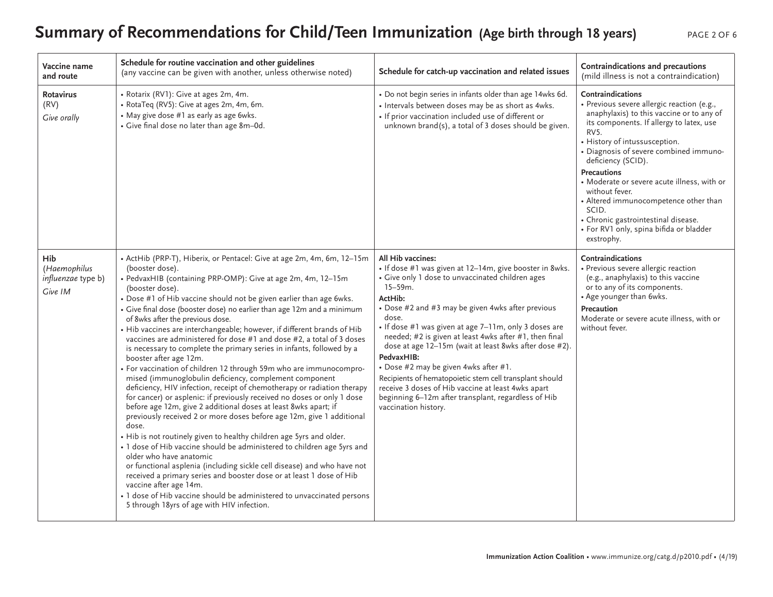# **Summary of Recommendations for Child/Teen Immunization (Age birth through 18 years)** PAGE 2 OF 6

| Vaccine name<br>and route                            | Schedule for routine vaccination and other guidelines<br>(any vaccine can be given with another, unless otherwise noted)                                                                                                                                                                                                                                                                                                                                                                                                                                                                                                                                                                                                                                                                                                                                                                                                                                                                                                                                                                                                                                                                                                                                                                                                                                                                                                                                                                                                                               | Schedule for catch-up vaccination and related issues                                                                                                                                                                                                                                                                                                                                                                                                                                                                                                                                                                                                          | Contraindications and precautions<br>(mild illness is not a contraindication)                                                                                                                                                                                                                                                                                                                                                                                                                              |
|------------------------------------------------------|--------------------------------------------------------------------------------------------------------------------------------------------------------------------------------------------------------------------------------------------------------------------------------------------------------------------------------------------------------------------------------------------------------------------------------------------------------------------------------------------------------------------------------------------------------------------------------------------------------------------------------------------------------------------------------------------------------------------------------------------------------------------------------------------------------------------------------------------------------------------------------------------------------------------------------------------------------------------------------------------------------------------------------------------------------------------------------------------------------------------------------------------------------------------------------------------------------------------------------------------------------------------------------------------------------------------------------------------------------------------------------------------------------------------------------------------------------------------------------------------------------------------------------------------------------|---------------------------------------------------------------------------------------------------------------------------------------------------------------------------------------------------------------------------------------------------------------------------------------------------------------------------------------------------------------------------------------------------------------------------------------------------------------------------------------------------------------------------------------------------------------------------------------------------------------------------------------------------------------|------------------------------------------------------------------------------------------------------------------------------------------------------------------------------------------------------------------------------------------------------------------------------------------------------------------------------------------------------------------------------------------------------------------------------------------------------------------------------------------------------------|
| Rotavirus<br>(RV)<br>Give orally                     | • Rotarix (RV1): Give at ages 2m, 4m.<br>• RotaTeq (RV5): Give at ages 2m, 4m, 6m.<br>• May give dose #1 as early as age 6wks.<br>• Give final dose no later than age 8m-0d.                                                                                                                                                                                                                                                                                                                                                                                                                                                                                                                                                                                                                                                                                                                                                                                                                                                                                                                                                                                                                                                                                                                                                                                                                                                                                                                                                                           | • Do not begin series in infants older than age 14wks 6d.<br>• Intervals between doses may be as short as 4wks.<br>• If prior vaccination included use of different or<br>unknown brand(s), a total of 3 doses should be given.                                                                                                                                                                                                                                                                                                                                                                                                                               | Contraindications<br>· Previous severe allergic reaction (e.g.,<br>anaphylaxis) to this vaccine or to any of<br>its components. If allergy to latex, use<br>RV5.<br>• History of intussusception.<br>· Diagnosis of severe combined immuno-<br>deficiency (SCID).<br><b>Precautions</b><br>• Moderate or severe acute illness, with or<br>without fever.<br>• Altered immunocompetence other than<br>SCID.<br>• Chronic gastrointestinal disease.<br>· For RV1 only, spina bifida or bladder<br>exstrophy. |
| Hib<br>(Haemophilus<br>influenzae type b)<br>Give IM | • ActHib (PRP-T), Hiberix, or Pentacel: Give at age 2m, 4m, 6m, 12-15m<br>(booster dose).<br>• PedvaxHIB (containing PRP-OMP): Give at age 2m, 4m, 12-15m<br>(booster dose).<br>• Dose #1 of Hib vaccine should not be given earlier than age 6wks.<br>• Give final dose (booster dose) no earlier than age 12m and a minimum<br>of 8wks after the previous dose.<br>• Hib vaccines are interchangeable; however, if different brands of Hib<br>vaccines are administered for dose #1 and dose #2, a total of 3 doses<br>is necessary to complete the primary series in infants, followed by a<br>booster after age 12m.<br>• For vaccination of children 12 through 59m who are immunocompro-<br>mised (immunoglobulin deficiency, complement component<br>deficiency, HIV infection, receipt of chemotherapy or radiation therapy<br>for cancer) or asplenic: if previously received no doses or only 1 dose<br>before age 12m, give 2 additional doses at least 8wks apart; if<br>previously received 2 or more doses before age 12m, give 1 additional<br>dose.<br>. Hib is not routinely given to healthy children age 5yrs and older.<br>• 1 dose of Hib vaccine should be administered to children age 5yrs and<br>older who have anatomic<br>or functional asplenia (including sickle cell disease) and who have not<br>received a primary series and booster dose or at least 1 dose of Hib<br>vaccine after age 14m.<br>• 1 dose of Hib vaccine should be administered to unvaccinated persons<br>5 through 18yrs of age with HIV infection. | All Hib vaccines:<br>• If dose #1 was given at 12-14m, give booster in 8wks.<br>• Give only 1 dose to unvaccinated children ages<br>$15 - 59m$ .<br>ActHib:<br>• Dose #2 and #3 may be given 4wks after previous<br>dose.<br>· If dose #1 was given at age 7-11m, only 3 doses are<br>needed; #2 is given at least 4wks after #1, then final<br>dose at age 12-15m (wait at least 8wks after dose #2).<br>PedvaxHIB:<br>• Dose #2 may be given 4wks after #1.<br>Recipients of hematopoietic stem cell transplant should<br>receive 3 doses of Hib vaccine at least 4wks apart<br>beginning 6-12m after transplant, regardless of Hib<br>vaccination history. | Contraindications<br>• Previous severe allergic reaction<br>(e.g., anaphylaxis) to this vaccine<br>or to any of its components.<br>• Age younger than 6wks.<br>Precaution<br>Moderate or severe acute illness, with or<br>without fever.                                                                                                                                                                                                                                                                   |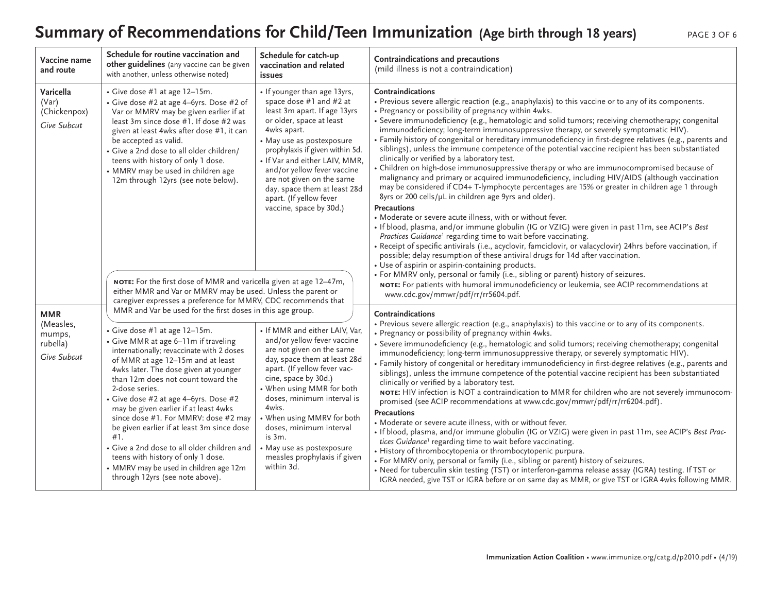### Summary of Recommendations for Child/Teen Immunization (Age birth through 18 years) PAGE 3 OF 6

| Vaccine name<br>and route                                    | Schedule for routine vaccination and<br>other guidelines (any vaccine can be given<br>with another, unless otherwise noted)                                                                                                                                                                                                                                                                                                                                                                                                                                                                                                                                             | Schedule for catch-up<br>vaccination and related<br>issues                                                                                                                                                                                                                                                                                                                                         | Contraindications and precautions<br>(mild illness is not a contraindication)                                                                                                                                                                                                                                                                                                                                                                                                                                                                                                                                                                                                                                                                                                                                                                                                                                                                                                                                                                                                                                                                                                                                                                                                                                                                                                                                                                                                                                                           |  |
|--------------------------------------------------------------|-------------------------------------------------------------------------------------------------------------------------------------------------------------------------------------------------------------------------------------------------------------------------------------------------------------------------------------------------------------------------------------------------------------------------------------------------------------------------------------------------------------------------------------------------------------------------------------------------------------------------------------------------------------------------|----------------------------------------------------------------------------------------------------------------------------------------------------------------------------------------------------------------------------------------------------------------------------------------------------------------------------------------------------------------------------------------------------|-----------------------------------------------------------------------------------------------------------------------------------------------------------------------------------------------------------------------------------------------------------------------------------------------------------------------------------------------------------------------------------------------------------------------------------------------------------------------------------------------------------------------------------------------------------------------------------------------------------------------------------------------------------------------------------------------------------------------------------------------------------------------------------------------------------------------------------------------------------------------------------------------------------------------------------------------------------------------------------------------------------------------------------------------------------------------------------------------------------------------------------------------------------------------------------------------------------------------------------------------------------------------------------------------------------------------------------------------------------------------------------------------------------------------------------------------------------------------------------------------------------------------------------------|--|
| Varicella<br>(Var)<br>(Chickenpox)<br>Give Subcut            | • Give dose #1 at age 12-15m.<br>• Give dose #2 at age 4-6yrs. Dose #2 of<br>Var or MMRV may be given earlier if at<br>least 3m since dose #1. If dose #2 was<br>given at least 4wks after dose #1, it can<br>be accepted as valid.<br>• Give a 2nd dose to all older children/<br>teens with history of only 1 dose.<br>• MMRV may be used in children age<br>12m through 12yrs (see note below).                                                                                                                                                                                                                                                                      | • If younger than age 13yrs,<br>space dose #1 and #2 at<br>least 3m apart. If age 13yrs<br>or older, space at least<br>4wks apart.<br>• May use as postexposure<br>prophylaxis if given within 5d.<br>• If Var and either LAIV, MMR,<br>and/or yellow fever vaccine<br>are not given on the same<br>day, space them at least 28d<br>apart. (If yellow fever<br>vaccine, space by 30d.)             | Contraindications<br>• Previous severe allergic reaction (e.g., anaphylaxis) to this vaccine or to any of its components.<br>• Pregnancy or possibility of pregnancy within 4wks.<br>· Severe immunodeficiency (e.g., hematologic and solid tumors; receiving chemotherapy; congenital<br>immunodeficiency; long-term immunosuppressive therapy, or severely symptomatic HIV).<br>· Family history of congenital or hereditary immunodeficiency in first-degree relatives (e.g., parents and<br>siblings), unless the immune competence of the potential vaccine recipient has been substantiated<br>clinically or verified by a laboratory test.<br>• Children on high-dose immunosuppressive therapy or who are immunocompromised because of<br>malignancy and primary or acquired immunodeficiency, including HIV/AIDS (although vaccination<br>may be considered if CD4+ T-lymphocyte percentages are 15% or greater in children age 1 through<br>8yrs or 200 cells/µL in children age 9yrs and older).<br><b>Precautions</b><br>• Moderate or severe acute illness, with or without fever.<br>. If blood, plasma, and/or immune globulin (IG or VZIG) were given in past 11m, see ACIP's Best<br>Practices Guidance <sup>1</sup> regarding time to wait before vaccinating.<br>• Receipt of specific antivirals (i.e., acyclovir, famciclovir, or valacyclovir) 24hrs before vaccination, if<br>possible; delay resumption of these antiviral drugs for 14d after vaccination.<br>· Use of aspirin or aspirin-containing products. |  |
|                                                              | NOTE: For the first dose of MMR and varicella given at age 12-47m,<br>either MMR and Var or MMRV may be used. Unless the parent or<br>caregiver expresses a preference for MMRV, CDC recommends that                                                                                                                                                                                                                                                                                                                                                                                                                                                                    |                                                                                                                                                                                                                                                                                                                                                                                                    | • For MMRV only, personal or family (i.e., sibling or parent) history of seizures.<br>NOTE: For patients with humoral immunodeficiency or leukemia, see ACIP recommendations at<br>www.cdc.gov/mmwr/pdf/rr/rr5604.pdf.                                                                                                                                                                                                                                                                                                                                                                                                                                                                                                                                                                                                                                                                                                                                                                                                                                                                                                                                                                                                                                                                                                                                                                                                                                                                                                                  |  |
| <b>MMR</b><br>(Measles,<br>mumps,<br>rubella)<br>Give Subcut | MMR and Var be used for the first doses in this age group.<br>• Give dose #1 at age 12-15m.<br>• Give MMR at age 6-11m if traveling<br>internationally; revaccinate with 2 doses<br>of MMR at age 12-15m and at least<br>4wks later. The dose given at younger<br>than 12m does not count toward the<br>2-dose series.<br>• Give dose #2 at age 4-6yrs. Dose #2<br>may be given earlier if at least 4wks<br>since dose #1. For MMRV: dose #2 may<br>be given earlier if at least 3m since dose<br>#1.<br>• Give a 2nd dose to all older children and<br>teens with history of only 1 dose.<br>• MMRV may be used in children age 12m<br>through 12yrs (see note above). | • If MMR and either LAIV, Var,<br>and/or yellow fever vaccine<br>are not given on the same<br>day, space them at least 28d<br>apart. (If yellow fever vac-<br>cine, space by 30d.)<br>• When using MMR for both<br>doses, minimum interval is<br>4wks.<br>When using MMRV for both<br>doses, minimum interval<br>is 3m.<br>• May use as postexposure<br>measles prophylaxis if given<br>within 3d. | Contraindications<br>• Previous severe allergic reaction (e.g., anaphylaxis) to this vaccine or to any of its components.<br>• Pregnancy or possibility of pregnancy within 4wks.<br>· Severe immunodeficiency (e.g., hematologic and solid tumors; receiving chemotherapy; congenital<br>immunodeficiency; long-term immunosuppressive therapy, or severely symptomatic HIV).<br>· Family history of congenital or hereditary immunodeficiency in first-degree relatives (e.g., parents and<br>siblings), unless the immune competence of the potential vaccine recipient has been substantiated<br>clinically or verified by a laboratory test.<br>NOTE: HIV infection is NOT a contraindication to MMR for children who are not severely immunocom-<br>promised (see ACIP recommendations at www.cdc.gov/mmwr/pdf/rr/rr6204.pdf).<br><b>Precautions</b><br>• Moderate or severe acute illness, with or without fever.<br>· If blood, plasma, and/or immune globulin (IG or VZIG) were given in past 11m, see ACIP's Best Prac-<br>tices Guidance <sup>1</sup> regarding time to wait before vaccinating.<br>• History of thrombocytopenia or thrombocytopenic purpura.<br>• For MMRV only, personal or family (i.e., sibling or parent) history of seizures.<br>• Need for tuberculin skin testing (TST) or interferon-gamma release assay (IGRA) testing. If TST or<br>IGRA needed, give TST or IGRA before or on same day as MMR, or give TST or IGRA 4wks following MMR.                                                          |  |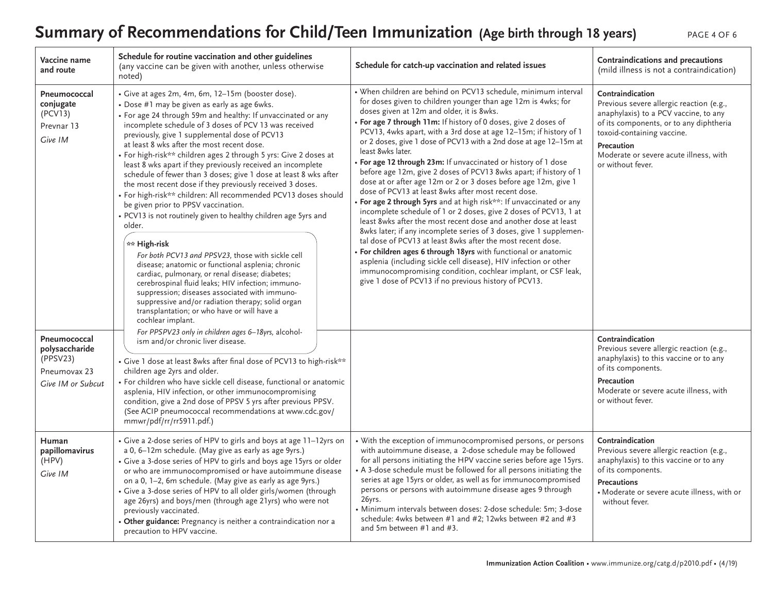# **Summary of Recommendations for Child/Teen Immunization (Age birth through 18 years)** PAGE 4 OF 6

| Vaccine name<br>and route                                                       | Schedule for routine vaccination and other guidelines<br>(any vaccine can be given with another, unless otherwise<br>noted)                                                                                                                                                                                                                                                                                                                                                                                                                                                                                                                                                                                                                                                                                                                                                                                                                                                                                                                                                                                                                                                                     | Schedule for catch-up vaccination and related issues                                                                                                                                                                                                                                                                                                                                                                                                                                                                                                                                                                                                                                                                                                                                                                                                                                                                                                                                                                                                                                                                                                                                                                                                                                               | Contraindications and precautions<br>(mild illness is not a contraindication)                                                                                                                                                                                      |
|---------------------------------------------------------------------------------|-------------------------------------------------------------------------------------------------------------------------------------------------------------------------------------------------------------------------------------------------------------------------------------------------------------------------------------------------------------------------------------------------------------------------------------------------------------------------------------------------------------------------------------------------------------------------------------------------------------------------------------------------------------------------------------------------------------------------------------------------------------------------------------------------------------------------------------------------------------------------------------------------------------------------------------------------------------------------------------------------------------------------------------------------------------------------------------------------------------------------------------------------------------------------------------------------|----------------------------------------------------------------------------------------------------------------------------------------------------------------------------------------------------------------------------------------------------------------------------------------------------------------------------------------------------------------------------------------------------------------------------------------------------------------------------------------------------------------------------------------------------------------------------------------------------------------------------------------------------------------------------------------------------------------------------------------------------------------------------------------------------------------------------------------------------------------------------------------------------------------------------------------------------------------------------------------------------------------------------------------------------------------------------------------------------------------------------------------------------------------------------------------------------------------------------------------------------------------------------------------------------|--------------------------------------------------------------------------------------------------------------------------------------------------------------------------------------------------------------------------------------------------------------------|
| Pneumococcal<br>conjugate<br>(PCV13)<br>Prevnar 13<br>Give IM                   | · Give at ages 2m, 4m, 6m, 12-15m (booster dose).<br>• Dose #1 may be given as early as age 6wks.<br>• For age 24 through 59m and healthy: If unvaccinated or any<br>incomplete schedule of 3 doses of PCV 13 was received<br>previously, give 1 supplemental dose of PCV13<br>at least 8 wks after the most recent dose.<br>• For high-risk** children ages 2 through 5 yrs: Give 2 doses at<br>least 8 wks apart if they previously received an incomplete<br>schedule of fewer than 3 doses; give 1 dose at least 8 wks after<br>the most recent dose if they previously received 3 doses.<br>• For high-risk** children: All recommended PCV13 doses should<br>be given prior to PPSV vaccination.<br>• PCV13 is not routinely given to healthy children age 5yrs and<br>older.<br>** High-risk<br>For both PCV13 and PPSV23, those with sickle cell<br>disease; anatomic or functional asplenia; chronic<br>cardiac, pulmonary, or renal disease; diabetes;<br>cerebrospinal fluid leaks; HIV infection; immuno-<br>suppression; diseases associated with immuno-<br>suppressive and/or radiation therapy; solid organ<br>transplantation; or who have or will have a<br>cochlear implant. | • When children are behind on PCV13 schedule, minimum interval<br>for doses given to children younger than age 12m is 4wks; for<br>doses given at 12m and older, it is 8wks.<br>. For age 7 through 11m: If history of 0 doses, give 2 doses of<br>PCV13, 4wks apart, with a 3rd dose at age 12-15m; if history of 1<br>or 2 doses, give 1 dose of PCV13 with a 2nd dose at age 12-15m at<br>least 8wks later.<br>• For age 12 through 23m: If unvaccinated or history of 1 dose<br>before age 12m, give 2 doses of PCV13 8wks apart; if history of 1<br>dose at or after age 12m or 2 or 3 doses before age 12m, give 1<br>dose of PCV13 at least 8wks after most recent dose.<br>• For age 2 through 5yrs and at high risk**: If unvaccinated or any<br>incomplete schedule of 1 or 2 doses, give 2 doses of PCV13, 1 at<br>least 8wks after the most recent dose and another dose at least<br>8wks later; if any incomplete series of 3 doses, give 1 supplemen-<br>tal dose of PCV13 at least 8wks after the most recent dose.<br>· For children ages 6 through 18yrs with functional or anatomic<br>asplenia (including sickle cell disease), HIV infection or other<br>immunocompromising condition, cochlear implant, or CSF leak,<br>give 1 dose of PCV13 if no previous history of PCV13. | Contraindication<br>Previous severe allergic reaction (e.g.,<br>anaphylaxis) to a PCV vaccine, to any<br>of its components, or to any diphtheria<br>toxoid-containing vaccine.<br><b>Precaution</b><br>Moderate or severe acute illness, with<br>or without fever. |
| Pneumococcal<br>polysaccharide<br>(PPSV23)<br>Pneumovax 23<br>Give IM or Subcut | For PPSPV23 only in children ages 6-18yrs, alcohol-<br>ism and/or chronic liver disease.<br>• Give 1 dose at least 8wks after final dose of PCV13 to high-risk**<br>children age 2yrs and older.<br>• For children who have sickle cell disease, functional or anatomic<br>asplenia, HIV infection, or other immunocompromising<br>condition, give a 2nd dose of PPSV 5 yrs after previous PPSV.<br>(See ACIP pneumococcal recommendations at www.cdc.gov/<br>mmwr/pdf/rr/rr5911.pdf.)                                                                                                                                                                                                                                                                                                                                                                                                                                                                                                                                                                                                                                                                                                          |                                                                                                                                                                                                                                                                                                                                                                                                                                                                                                                                                                                                                                                                                                                                                                                                                                                                                                                                                                                                                                                                                                                                                                                                                                                                                                    | Contraindication<br>Previous severe allergic reaction (e.g.,<br>anaphylaxis) to this vaccine or to any<br>of its components.<br>Precaution<br>Moderate or severe acute illness, with<br>or without fever.                                                          |
| Human<br>papillomavirus<br>(HPV)<br>Give IM                                     | • Give a 2-dose series of HPV to girls and boys at age 11-12yrs on<br>a 0, 6-12m schedule. (May give as early as age 9yrs.)<br>• Give a 3-dose series of HPV to girls and boys age 15yrs or older<br>or who are immunocompromised or have autoimmune disease<br>on a 0, 1-2, 6m schedule. (May give as early as age 9yrs.)<br>• Give a 3-dose series of HPV to all older girls/women (through<br>age 26yrs) and boys/men (through age 21yrs) who were not<br>previously vaccinated.<br>• Other guidance: Pregnancy is neither a contraindication nor a<br>precaution to HPV vaccine.                                                                                                                                                                                                                                                                                                                                                                                                                                                                                                                                                                                                            | • With the exception of immunocompromised persons, or persons<br>with autoimmune disease, a 2-dose schedule may be followed<br>for all persons initiating the HPV vaccine series before age 15yrs.<br>• A 3-dose schedule must be followed for all persons initiating the<br>series at age 15yrs or older, as well as for immunocompromised<br>persons or persons with autoimmune disease ages 9 through<br>26yrs.<br>· Minimum intervals between doses: 2-dose schedule: 5m; 3-dose<br>schedule: 4wks between #1 and #2; 12wks between #2 and #3<br>and 5m between $#1$ and $#3$ .                                                                                                                                                                                                                                                                                                                                                                                                                                                                                                                                                                                                                                                                                                                | Contraindication<br>Previous severe allergic reaction (e.g.,<br>anaphylaxis) to this vaccine or to any<br>of its components.<br><b>Precautions</b><br>• Moderate or severe acute illness, with or<br>without fever.                                                |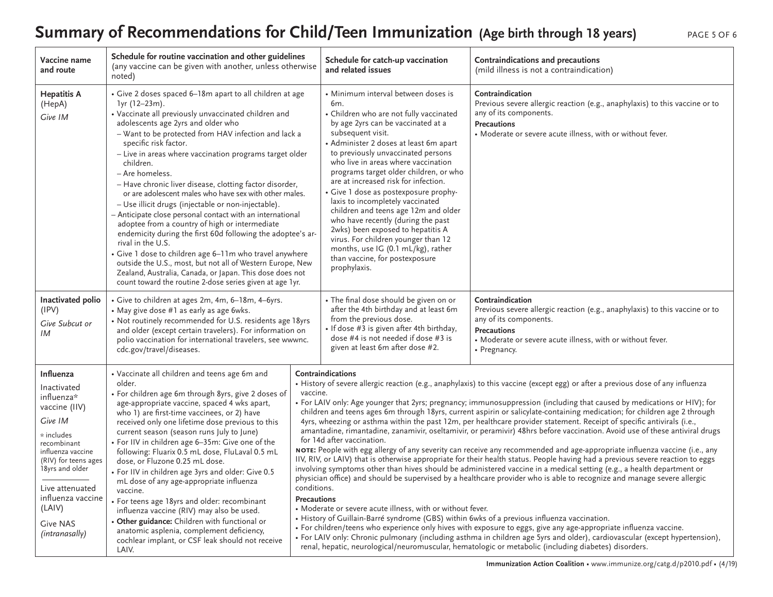# Summary of Recommendations for Child/Teen Immunization (Age birth through 18 years)

| PAGE 5 OF 6 |  |  |
|-------------|--|--|
|             |  |  |

| Vaccine name<br>and route                                                                                                                                                                                                                              | Schedule for routine vaccination and other guidelines<br>(any vaccine can be given with another, unless otherwise<br>noted)                                                                                                                                                                                                                                                                                                                                                                                                                                                                                                                                                                                                                                                                                                                                                                                                                                                         |                                               | Schedule for catch-up vaccination<br>and related issues                                                                                                                                                                                                                                                                                                                                                                                                                                                                                                                                                                                                                                  | Contraindications and precautions<br>(mild illness is not a contraindication)                                                                                                                                                                                                                                                                                                                                                                                                                                                                                                                                                                                                                                                                                                                                                                                                                                                                                                                                                                                                                                                                                                                                                                                                                                                                                                                                                                                                                                                     |
|--------------------------------------------------------------------------------------------------------------------------------------------------------------------------------------------------------------------------------------------------------|-------------------------------------------------------------------------------------------------------------------------------------------------------------------------------------------------------------------------------------------------------------------------------------------------------------------------------------------------------------------------------------------------------------------------------------------------------------------------------------------------------------------------------------------------------------------------------------------------------------------------------------------------------------------------------------------------------------------------------------------------------------------------------------------------------------------------------------------------------------------------------------------------------------------------------------------------------------------------------------|-----------------------------------------------|------------------------------------------------------------------------------------------------------------------------------------------------------------------------------------------------------------------------------------------------------------------------------------------------------------------------------------------------------------------------------------------------------------------------------------------------------------------------------------------------------------------------------------------------------------------------------------------------------------------------------------------------------------------------------------------|-----------------------------------------------------------------------------------------------------------------------------------------------------------------------------------------------------------------------------------------------------------------------------------------------------------------------------------------------------------------------------------------------------------------------------------------------------------------------------------------------------------------------------------------------------------------------------------------------------------------------------------------------------------------------------------------------------------------------------------------------------------------------------------------------------------------------------------------------------------------------------------------------------------------------------------------------------------------------------------------------------------------------------------------------------------------------------------------------------------------------------------------------------------------------------------------------------------------------------------------------------------------------------------------------------------------------------------------------------------------------------------------------------------------------------------------------------------------------------------------------------------------------------------|
| <b>Hepatitis A</b><br>(HepA)<br>Give IM                                                                                                                                                                                                                | • Give 2 doses spaced 6-18m apart to all children at age<br>1yr (12-23m).<br>• Vaccinate all previously unvaccinated children and<br>adolescents age 2yrs and older who<br>- Want to be protected from HAV infection and lack a<br>specific risk factor.<br>- Live in areas where vaccination programs target older<br>children.<br>- Are homeless.<br>- Have chronic liver disease, clotting factor disorder,<br>or are adolescent males who have sex with other males.<br>- Use illicit drugs (injectable or non-injectable).<br>- Anticipate close personal contact with an international<br>adoptee from a country of high or intermediate<br>endemicity during the first 60d following the adoptee's ar-<br>rival in the U.S.<br>• Give 1 dose to children age 6-11m who travel anywhere<br>outside the U.S., most, but not all of Western Europe, New<br>Zealand, Australia, Canada, or Japan. This dose does not<br>count toward the routine 2-dose series given at age 1yr. |                                               | · Minimum interval between doses is<br>6m.<br>• Children who are not fully vaccinated<br>by age 2yrs can be vaccinated at a<br>subsequent visit.<br>• Administer 2 doses at least 6m apart<br>to previously unvaccinated persons<br>who live in areas where vaccination<br>programs target older children, or who<br>are at increased risk for infection.<br>• Give 1 dose as postexposure prophy-<br>laxis to incompletely vaccinated<br>children and teens age 12m and older<br>who have recently (during the past<br>2wks) been exposed to hepatitis A<br>virus. For children younger than 12<br>months, use IG (0.1 mL/kg), rather<br>than vaccine, for postexposure<br>prophylaxis. | Contraindication<br>Previous severe allergic reaction (e.g., anaphylaxis) to this vaccine or to<br>any of its components.<br><b>Precautions</b><br>• Moderate or severe acute illness, with or without fever.                                                                                                                                                                                                                                                                                                                                                                                                                                                                                                                                                                                                                                                                                                                                                                                                                                                                                                                                                                                                                                                                                                                                                                                                                                                                                                                     |
| Inactivated polio<br>(IPV)<br>Give Subcut or<br>IM                                                                                                                                                                                                     | • Give to children at ages 2m, 4m, 6-18m, 4-6yrs.<br>• May give dose #1 as early as age 6wks.<br>• Not routinely recommended for U.S. residents age 18yrs<br>and older (except certain travelers). For information on<br>polio vaccination for international travelers, see wwwnc.<br>cdc.gov/travel/diseases.                                                                                                                                                                                                                                                                                                                                                                                                                                                                                                                                                                                                                                                                      |                                               | • The final dose should be given on or<br>after the 4th birthday and at least 6m<br>from the previous dose.<br>• If dose #3 is given after 4th birthday,<br>dose #4 is not needed if dose #3 is<br>given at least 6m after dose #2.                                                                                                                                                                                                                                                                                                                                                                                                                                                      | Contraindication<br>Previous severe allergic reaction (e.g., anaphylaxis) to this vaccine or to<br>any of its components.<br>Precautions<br>• Moderate or severe acute illness, with or without fever.<br>• Pregnancy.                                                                                                                                                                                                                                                                                                                                                                                                                                                                                                                                                                                                                                                                                                                                                                                                                                                                                                                                                                                                                                                                                                                                                                                                                                                                                                            |
| Influenza<br>Inactivated<br>influenza*<br>vaccine (IIV)<br>Give IM<br>* includes<br>recombinant<br>influenza vaccine<br>(RIV) for teens ages<br>18yrs and older<br>Live attenuated<br>influenza vaccine<br>(LAIV)<br><b>Give NAS</b><br>(intranasally) | • Vaccinate all children and teens age 6m and<br>older.<br>• For children age 6m through 8yrs, give 2 doses of<br>age-appropriate vaccine, spaced 4 wks apart,<br>who 1) are first-time vaccinees, or 2) have<br>received only one lifetime dose previous to this<br>current season (season runs July to June)<br>• For IIV in children age 6-35m: Give one of the<br>following: Fluarix 0.5 mL dose, FluLaval 0.5 mL<br>dose, or Fluzone 0.25 mL dose.<br>· For IIV in children age 3yrs and older: Give 0.5<br>mL dose of any age-appropriate influenza<br>vaccine.<br>• For teens age 18yrs and older: recombinant<br>influenza vaccine (RIV) may also be used.<br>· Other guidance: Children with functional or<br>anatomic asplenia, complement deficiency,<br>cochlear implant, or CSF leak should not receive<br>LAIV.                                                                                                                                                       | vaccine.<br>conditions.<br><b>Precautions</b> | Contraindications<br>for 14d after vaccination.<br>• Moderate or severe acute illness, with or without fever.<br>• History of Guillain-Barré syndrome (GBS) within 6wks of a previous influenza vaccination.                                                                                                                                                                                                                                                                                                                                                                                                                                                                             | • History of severe allergic reaction (e.g., anaphylaxis) to this vaccine (except egg) or after a previous dose of any influenza<br>• For LAIV only: Age younger that 2yrs; pregnancy; immunosuppression (including that caused by medications or HIV); for<br>children and teens ages 6m through 18yrs, current aspirin or salicylate-containing medication; for children age 2 through<br>4yrs, wheezing or asthma within the past 12m, per healthcare provider statement. Receipt of specific antivirals (i.e.,<br>amantadine, rimantadine, zanamivir, oseltamivir, or peramivir) 48hrs before vaccination. Avoid use of these antiviral drugs<br>NOTE: People with egg allergy of any severity can receive any recommended and age-appropriate influenza vaccine (i.e., any<br>IIV, RIV, or LAIV) that is otherwise appropriate for their health status. People having had a previous severe reaction to eggs<br>involving symptoms other than hives should be administered vaccine in a medical setting (e.g., a health department or<br>physician office) and should be supervised by a healthcare provider who is able to recognize and manage severe allergic<br>• For children/teens who experience only hives with exposure to eggs, give any age-appropriate influenza vaccine.<br>• For LAIV only: Chronic pulmonary (including asthma in children age 5yrs and older), cardiovascular (except hypertension),<br>renal, hepatic, neurological/neuromuscular, hematologic or metabolic (including diabetes) disorders. |